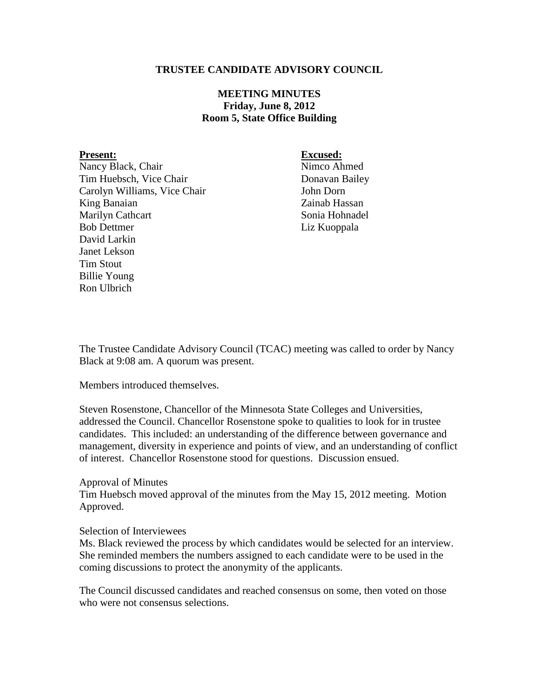# **TRUSTEE CANDIDATE ADVISORY COUNCIL**

# **MEETING MINUTES Friday, June 8, 2012 Room 5, State Office Building**

Nancy Black, Chair Nimco Ahmed Tim Huebsch, Vice Chair Donavan Bailey Carolyn Williams, Vice Chair **In the Uran Carolyn Dorn** King Banaian **Zainab Hassan** Marilyn Cathcart Sonia Hohnadel Bob Dettmer Liz Kuoppala David Larkin Janet Lekson Tim Stout Billie Young Ron Ulbrich

**Present: Excused:**

The Trustee Candidate Advisory Council (TCAC) meeting was called to order by Nancy Black at 9:08 am. A quorum was present.

Members introduced themselves.

Steven Rosenstone, Chancellor of the Minnesota State Colleges and Universities, addressed the Council. Chancellor Rosenstone spoke to qualities to look for in trustee candidates. This included: an understanding of the difference between governance and management, diversity in experience and points of view, and an understanding of conflict of interest. Chancellor Rosenstone stood for questions. Discussion ensued.

### Approval of Minutes

Tim Huebsch moved approval of the minutes from the May 15, 2012 meeting. Motion Approved.

## Selection of Interviewees

Ms. Black reviewed the process by which candidates would be selected for an interview. She reminded members the numbers assigned to each candidate were to be used in the coming discussions to protect the anonymity of the applicants.

The Council discussed candidates and reached consensus on some, then voted on those who were not consensus selections.